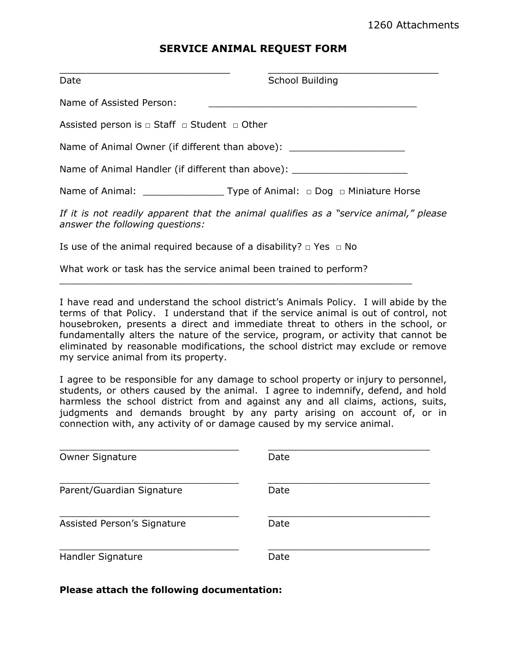## **SERVICE ANIMAL REQUEST FORM**

| Date                                                                                                                     | <b>School Building</b> |
|--------------------------------------------------------------------------------------------------------------------------|------------------------|
| Name of Assisted Person:                                                                                                 |                        |
| Assisted person is $\Box$ Staff $\Box$ Student $\Box$ Other                                                              |                        |
| Name of Animal Owner (if different than above): ________________________________                                         |                        |
| Name of Animal Handler (if different than above): ______________________________                                         |                        |
|                                                                                                                          |                        |
| If it is not readily apparent that the animal qualifies as a "service animal," please<br>answer the following questions: |                        |
| Is use of the animal required because of a disability? $\Box$ Yes $\Box$ No                                              |                        |
| What work or task has the service animal been trained to perform?                                                        |                        |

I have read and understand the school district's Animals Policy. I will abide by the terms of that Policy. I understand that if the service animal is out of control, not housebroken, presents a direct and immediate threat to others in the school, or fundamentally alters the nature of the service, program, or activity that cannot be eliminated by reasonable modifications, the school district may exclude or remove my service animal from its property.

I agree to be responsible for any damage to school property or injury to personnel, students, or others caused by the animal. I agree to indemnify, defend, and hold harmless the school district from and against any and all claims, actions, suits, judgments and demands brought by any party arising on account of, or in connection with, any activity of or damage caused by my service animal.

| <b>Owner Signature</b>      | Date |
|-----------------------------|------|
| Parent/Guardian Signature   | Date |
| Assisted Person's Signature | Date |
| Handler Signature           | Date |

## **Please attach the following documentation:**